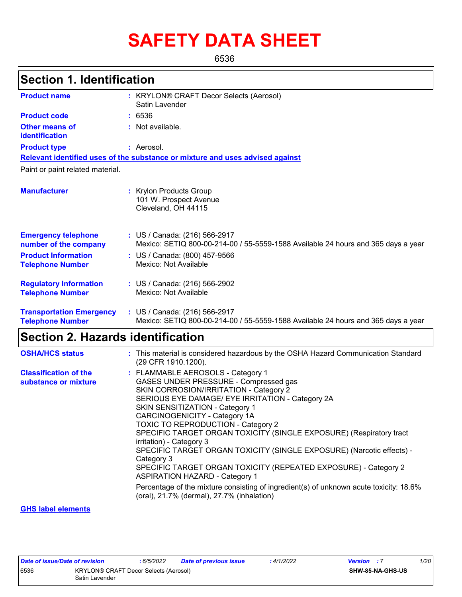# **SAFETY DATA SHEET**

6536

### **Section 1. Identification**

| <b>Product name</b>                                        | : KRYLON® CRAFT Decor Selects (Aerosol)<br>Satin Lavender                                                          |
|------------------------------------------------------------|--------------------------------------------------------------------------------------------------------------------|
| <b>Product code</b>                                        | : 6536                                                                                                             |
| <b>Other means of</b><br>identification                    | : Not available.                                                                                                   |
| <b>Product type</b>                                        | : Aerosol.                                                                                                         |
|                                                            | Relevant identified uses of the substance or mixture and uses advised against                                      |
| Paint or paint related material.                           |                                                                                                                    |
| <b>Manufacturer</b>                                        | : Krylon Products Group<br>101 W. Prospect Avenue<br>Cleveland, OH 44115                                           |
| <b>Emergency telephone</b><br>number of the company        | : US / Canada: (216) 566-2917<br>Mexico: SETIQ 800-00-214-00 / 55-5559-1588 Available 24 hours and 365 days a year |
| <b>Product Information</b><br><b>Telephone Number</b>      | : US / Canada: (800) 457-9566<br>Mexico: Not Available                                                             |
| <b>Regulatory Information</b><br><b>Telephone Number</b>   | : US / Canada: (216) 566-2902<br>Mexico: Not Available                                                             |
| <b>Transportation Emergency</b><br><b>Telephone Number</b> | : US / Canada: (216) 566-2917<br>Mexico: SETIQ 800-00-214-00 / 55-5559-1588 Available 24 hours and 365 days a year |

### **Section 2. Hazards identification**

| <b>OSHA/HCS status</b>                               | : This material is considered hazardous by the OSHA Hazard Communication Standard<br>(29 CFR 1910.1200).                                                                                                                                                                                                                                                                                                                                                                                                                                                                                                                                                                                                                                |
|------------------------------------------------------|-----------------------------------------------------------------------------------------------------------------------------------------------------------------------------------------------------------------------------------------------------------------------------------------------------------------------------------------------------------------------------------------------------------------------------------------------------------------------------------------------------------------------------------------------------------------------------------------------------------------------------------------------------------------------------------------------------------------------------------------|
| <b>Classification of the</b><br>substance or mixture | : FLAMMABLE AEROSOLS - Category 1<br>GASES UNDER PRESSURE - Compressed gas<br>SKIN CORROSION/IRRITATION - Category 2<br>SERIOUS EYE DAMAGE/ EYE IRRITATION - Category 2A<br>SKIN SENSITIZATION - Category 1<br>CARCINOGENICITY - Category 1A<br><b>TOXIC TO REPRODUCTION - Category 2</b><br>SPECIFIC TARGET ORGAN TOXICITY (SINGLE EXPOSURE) (Respiratory tract<br>irritation) - Category 3<br>SPECIFIC TARGET ORGAN TOXICITY (SINGLE EXPOSURE) (Narcotic effects) -<br>Category 3<br>SPECIFIC TARGET ORGAN TOXICITY (REPEATED EXPOSURE) - Category 2<br><b>ASPIRATION HAZARD - Category 1</b><br>Percentage of the mixture consisting of ingredient(s) of unknown acute toxicity: 18.6%<br>(oral), 21.7% (dermal), 27.7% (inhalation) |
|                                                      |                                                                                                                                                                                                                                                                                                                                                                                                                                                                                                                                                                                                                                                                                                                                         |

#### **GHS label elements**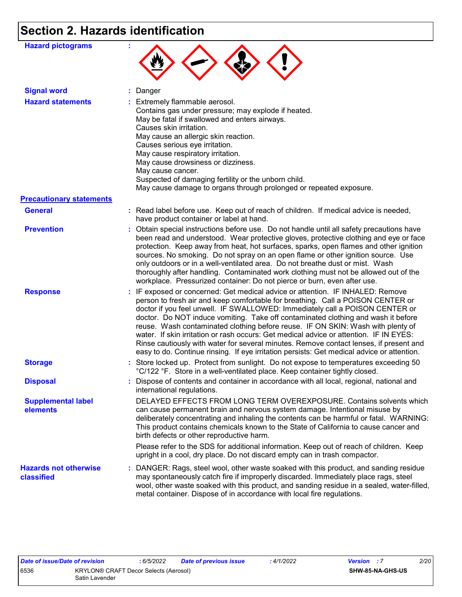# **Section 2. Hazards identification**

| <b>Hazard pictograms</b>                   |                                                                                                                                                                                                                                                                                                                                                                                                                                                                                                                                                                                                                                                                                                             |
|--------------------------------------------|-------------------------------------------------------------------------------------------------------------------------------------------------------------------------------------------------------------------------------------------------------------------------------------------------------------------------------------------------------------------------------------------------------------------------------------------------------------------------------------------------------------------------------------------------------------------------------------------------------------------------------------------------------------------------------------------------------------|
| <b>Signal word</b>                         | : Danger                                                                                                                                                                                                                                                                                                                                                                                                                                                                                                                                                                                                                                                                                                    |
| <b>Hazard statements</b>                   | : Extremely flammable aerosol.<br>Contains gas under pressure; may explode if heated.<br>May be fatal if swallowed and enters airways.<br>Causes skin irritation.<br>May cause an allergic skin reaction.<br>Causes serious eye irritation.<br>May cause respiratory irritation.<br>May cause drowsiness or dizziness.<br>May cause cancer.<br>Suspected of damaging fertility or the unborn child.<br>May cause damage to organs through prolonged or repeated exposure.                                                                                                                                                                                                                                   |
| <b>Precautionary statements</b>            |                                                                                                                                                                                                                                                                                                                                                                                                                                                                                                                                                                                                                                                                                                             |
| <b>General</b>                             | : Read label before use. Keep out of reach of children. If medical advice is needed,<br>have product container or label at hand.                                                                                                                                                                                                                                                                                                                                                                                                                                                                                                                                                                            |
| <b>Prevention</b>                          | : Obtain special instructions before use. Do not handle until all safety precautions have<br>been read and understood. Wear protective gloves, protective clothing and eye or face<br>protection. Keep away from heat, hot surfaces, sparks, open flames and other ignition<br>sources. No smoking. Do not spray on an open flame or other ignition source. Use<br>only outdoors or in a well-ventilated area. Do not breathe dust or mist. Wash<br>thoroughly after handling. Contaminated work clothing must not be allowed out of the<br>workplace. Pressurized container: Do not pierce or burn, even after use.                                                                                        |
| <b>Response</b>                            | : IF exposed or concerned: Get medical advice or attention. IF INHALED: Remove<br>person to fresh air and keep comfortable for breathing. Call a POISON CENTER or<br>doctor if you feel unwell. IF SWALLOWED: Immediately call a POISON CENTER or<br>doctor. Do NOT induce vomiting. Take off contaminated clothing and wash it before<br>reuse. Wash contaminated clothing before reuse. IF ON SKIN: Wash with plenty of<br>water. If skin irritation or rash occurs: Get medical advice or attention. IF IN EYES:<br>Rinse cautiously with water for several minutes. Remove contact lenses, if present and<br>easy to do. Continue rinsing. If eye irritation persists: Get medical advice or attention. |
| <b>Storage</b>                             | : Store locked up. Protect from sunlight. Do not expose to temperatures exceeding 50<br>°C/122 °F. Store in a well-ventilated place. Keep container tightly closed.                                                                                                                                                                                                                                                                                                                                                                                                                                                                                                                                         |
| <b>Disposal</b>                            | : Dispose of contents and container in accordance with all local, regional, national and<br>international regulations.                                                                                                                                                                                                                                                                                                                                                                                                                                                                                                                                                                                      |
| <b>Supplemental label</b><br>elements      | DELAYED EFFECTS FROM LONG TERM OVEREXPOSURE. Contains solvents which<br>can cause permanent brain and nervous system damage. Intentional misuse by<br>deliberately concentrating and inhaling the contents can be harmful or fatal. WARNING:<br>This product contains chemicals known to the State of California to cause cancer and<br>birth defects or other reproductive harm.<br>Please refer to the SDS for additional information. Keep out of reach of children. Keep<br>upright in a cool, dry place. Do not discard empty can in trash compactor.                                                                                                                                                  |
| <b>Hazards not otherwise</b><br>classified | : DANGER: Rags, steel wool, other waste soaked with this product, and sanding residue<br>may spontaneously catch fire if improperly discarded. Immediately place rags, steel<br>wool, other waste soaked with this product, and sanding residue in a sealed, water-filled,<br>metal container. Dispose of in accordance with local fire regulations.                                                                                                                                                                                                                                                                                                                                                        |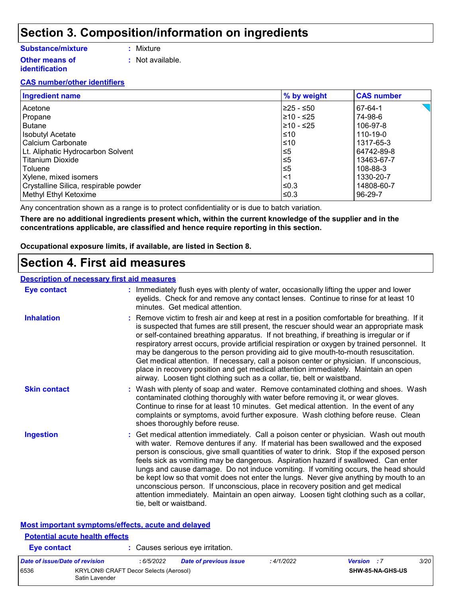### **Section 3. Composition/information on ingredients**

#### **Substance/mixture**

- **:** Mixture
- **Other means of identification**
- 
- **:** Not available.

#### **CAS number/other identifiers**

| <b>Ingredient name</b>                | % by weight | <b>CAS number</b> |
|---------------------------------------|-------------|-------------------|
| Acetone                               | l≥25 - ≤50  | 67-64-1           |
| Propane                               | l≥10 - ≤25  | 74-98-6           |
| Butane                                | l≥10 - ≤25  | 106-97-8          |
| Isobutyl Acetate                      | ≤10         | 110-19-0          |
| l Calcium Carbonate                   | l≤10        | 1317-65-3         |
| Lt. Aliphatic Hydrocarbon Solvent     | ≤5          | 64742-89-8        |
| l Titanium Dioxide                    | 5≤ا         | 13463-67-7        |
| l Toluene                             | 5≤ا         | 108-88-3          |
| Xylene, mixed isomers                 | ∣<1         | 1330-20-7         |
| Crystalline Silica, respirable powder | ≤0.3        | 14808-60-7        |
| Methyl Ethyl Ketoxime                 | l≤0.3       | 96-29-7           |

Any concentration shown as a range is to protect confidentiality or is due to batch variation.

**There are no additional ingredients present which, within the current knowledge of the supplier and in the concentrations applicable, are classified and hence require reporting in this section.**

**Occupational exposure limits, if available, are listed in Section 8.**

### **Section 4. First aid measures**

#### **Description of necessary first aid measures**

**Potential acute health effects**

| <b>Eye contact</b>                                 | : Immediately flush eyes with plenty of water, occasionally lifting the upper and lower<br>eyelids. Check for and remove any contact lenses. Continue to rinse for at least 10<br>minutes. Get medical attention.                                                                                                                                                                                                                                                                                                                                                                                                                                                                                                                                       |
|----------------------------------------------------|---------------------------------------------------------------------------------------------------------------------------------------------------------------------------------------------------------------------------------------------------------------------------------------------------------------------------------------------------------------------------------------------------------------------------------------------------------------------------------------------------------------------------------------------------------------------------------------------------------------------------------------------------------------------------------------------------------------------------------------------------------|
| <b>Inhalation</b>                                  | : Remove victim to fresh air and keep at rest in a position comfortable for breathing. If it<br>is suspected that fumes are still present, the rescuer should wear an appropriate mask<br>or self-contained breathing apparatus. If not breathing, if breathing is irregular or if<br>respiratory arrest occurs, provide artificial respiration or oxygen by trained personnel. It<br>may be dangerous to the person providing aid to give mouth-to-mouth resuscitation.<br>Get medical attention. If necessary, call a poison center or physician. If unconscious,<br>place in recovery position and get medical attention immediately. Maintain an open<br>airway. Loosen tight clothing such as a collar, tie, belt or waistband.                    |
| <b>Skin contact</b>                                | : Wash with plenty of soap and water. Remove contaminated clothing and shoes. Wash<br>contaminated clothing thoroughly with water before removing it, or wear gloves.<br>Continue to rinse for at least 10 minutes. Get medical attention. In the event of any<br>complaints or symptoms, avoid further exposure. Wash clothing before reuse. Clean<br>shoes thoroughly before reuse.                                                                                                                                                                                                                                                                                                                                                                   |
| <b>Ingestion</b>                                   | : Get medical attention immediately. Call a poison center or physician. Wash out mouth<br>with water. Remove dentures if any. If material has been swallowed and the exposed<br>person is conscious, give small quantities of water to drink. Stop if the exposed person<br>feels sick as vomiting may be dangerous. Aspiration hazard if swallowed. Can enter<br>lungs and cause damage. Do not induce vomiting. If vomiting occurs, the head should<br>be kept low so that vomit does not enter the lungs. Never give anything by mouth to an<br>unconscious person. If unconscious, place in recovery position and get medical<br>attention immediately. Maintain an open airway. Loosen tight clothing such as a collar,<br>tie, belt or waistband. |
| Most important symptoms/effects, acute and delayed |                                                                                                                                                                                                                                                                                                                                                                                                                                                                                                                                                                                                                                                                                                                                                         |

| Eye contact                                                     |  |            | Causes serious eve irritation. |                  |                    |      |
|-----------------------------------------------------------------|--|------------|--------------------------------|------------------|--------------------|------|
| Date of issue/Date of revision                                  |  | : 6/5/2022 | Date of previous issue         | :4/1/2022        | <b>Version</b> : 7 | 3/20 |
| 6536<br>KRYLON® CRAFT Decor Selects (Aerosol)<br>Satin Lavender |  |            |                                | SHW-85-NA-GHS-US |                    |      |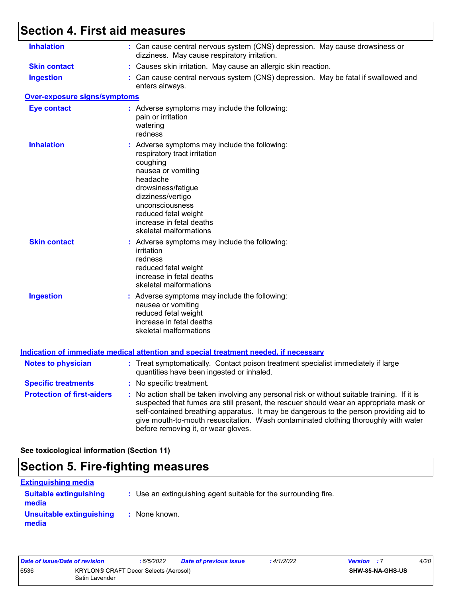## **Section 4. First aid measures**

| <b>Inhalation</b>                   | : Can cause central nervous system (CNS) depression. May cause drowsiness or<br>dizziness. May cause respiratory irritation.                                                                                                                                                                                                                                                                                    |
|-------------------------------------|-----------------------------------------------------------------------------------------------------------------------------------------------------------------------------------------------------------------------------------------------------------------------------------------------------------------------------------------------------------------------------------------------------------------|
| <b>Skin contact</b>                 | : Causes skin irritation. May cause an allergic skin reaction.                                                                                                                                                                                                                                                                                                                                                  |
| <b>Ingestion</b>                    | : Can cause central nervous system (CNS) depression. May be fatal if swallowed and<br>enters airways.                                                                                                                                                                                                                                                                                                           |
| <b>Over-exposure signs/symptoms</b> |                                                                                                                                                                                                                                                                                                                                                                                                                 |
| <b>Eye contact</b>                  | : Adverse symptoms may include the following:<br>pain or irritation<br>watering<br>redness                                                                                                                                                                                                                                                                                                                      |
| <b>Inhalation</b>                   | : Adverse symptoms may include the following:<br>respiratory tract irritation<br>coughing<br>nausea or vomiting<br>headache<br>drowsiness/fatigue<br>dizziness/vertigo<br>unconsciousness<br>reduced fetal weight<br>increase in fetal deaths<br>skeletal malformations                                                                                                                                         |
| <b>Skin contact</b>                 | : Adverse symptoms may include the following:<br>irritation<br>redness<br>reduced fetal weight<br>increase in fetal deaths<br>skeletal malformations                                                                                                                                                                                                                                                            |
| <b>Ingestion</b>                    | : Adverse symptoms may include the following:<br>nausea or vomiting<br>reduced fetal weight<br>increase in fetal deaths<br>skeletal malformations                                                                                                                                                                                                                                                               |
|                                     | <b>Indication of immediate medical attention and special treatment needed, if necessary</b>                                                                                                                                                                                                                                                                                                                     |
| <b>Notes to physician</b>           | : Treat symptomatically. Contact poison treatment specialist immediately if large<br>quantities have been ingested or inhaled.                                                                                                                                                                                                                                                                                  |
| <b>Specific treatments</b>          | : No specific treatment.                                                                                                                                                                                                                                                                                                                                                                                        |
| <b>Protection of first-aiders</b>   | : No action shall be taken involving any personal risk or without suitable training. If it is<br>suspected that fumes are still present, the rescuer should wear an appropriate mask or<br>self-contained breathing apparatus. It may be dangerous to the person providing aid to<br>give mouth-to-mouth resuscitation. Wash contaminated clothing thoroughly with water<br>before removing it, or wear gloves. |

**See toxicological information (Section 11)**

### **Section 5. Fire-fighting measures**

| <b>Extinguishing media</b>             |                                                                 |
|----------------------------------------|-----------------------------------------------------------------|
| <b>Suitable extinguishing</b><br>media | : Use an extinguishing agent suitable for the surrounding fire. |
| Unsuitable extinguishing<br>media      | : None known.                                                   |

| Date of issue/Date of revision |                                                         | : 6/5/2022 | Date of previous issue | : 4/1/2022 | <b>Version</b> : 7 |                         | 4/20 |
|--------------------------------|---------------------------------------------------------|------------|------------------------|------------|--------------------|-------------------------|------|
| 6536                           | KRYLON® CRAFT Decor Selects (Aerosol)<br>Satin Lavender |            |                        |            |                    | <b>SHW-85-NA-GHS-US</b> |      |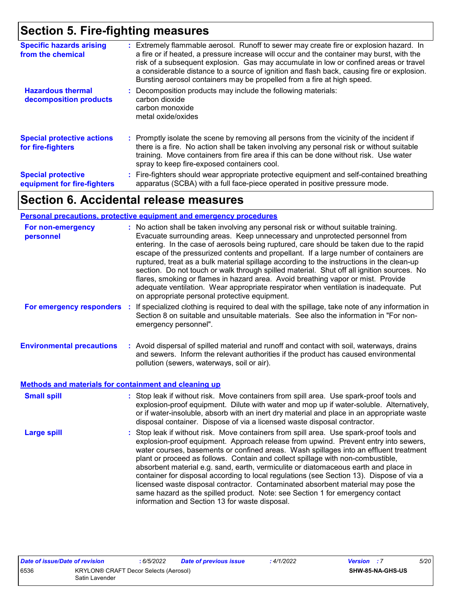### **Section 5. Fire-fighting measures**

| <b>Specific hazards arising</b><br>from the chemical     | : Extremely flammable aerosol. Runoff to sewer may create fire or explosion hazard. In<br>a fire or if heated, a pressure increase will occur and the container may burst, with the<br>risk of a subsequent explosion. Gas may accumulate in low or confined areas or travel<br>a considerable distance to a source of ignition and flash back, causing fire or explosion.<br>Bursting aerosol containers may be propelled from a fire at high speed. |
|----------------------------------------------------------|-------------------------------------------------------------------------------------------------------------------------------------------------------------------------------------------------------------------------------------------------------------------------------------------------------------------------------------------------------------------------------------------------------------------------------------------------------|
| <b>Hazardous thermal</b><br>decomposition products       | Decomposition products may include the following materials:<br>carbon dioxide<br>carbon monoxide<br>metal oxide/oxides                                                                                                                                                                                                                                                                                                                                |
| <b>Special protective actions</b><br>for fire-fighters   | : Promptly isolate the scene by removing all persons from the vicinity of the incident if<br>there is a fire. No action shall be taken involving any personal risk or without suitable<br>training. Move containers from fire area if this can be done without risk. Use water<br>spray to keep fire-exposed containers cool.                                                                                                                         |
| <b>Special protective</b><br>equipment for fire-fighters | : Fire-fighters should wear appropriate protective equipment and self-contained breathing<br>apparatus (SCBA) with a full face-piece operated in positive pressure mode.                                                                                                                                                                                                                                                                              |

### **Section 6. Accidental release measures**

#### **Personal precautions, protective equipment and emergency procedures**

| For non-emergency<br>personnel                        | : No action shall be taken involving any personal risk or without suitable training.<br>Evacuate surrounding areas. Keep unnecessary and unprotected personnel from<br>entering. In the case of aerosols being ruptured, care should be taken due to the rapid<br>escape of the pressurized contents and propellant. If a large number of containers are<br>ruptured, treat as a bulk material spillage according to the instructions in the clean-up<br>section. Do not touch or walk through spilled material. Shut off all ignition sources. No<br>flares, smoking or flames in hazard area. Avoid breathing vapor or mist. Provide<br>adequate ventilation. Wear appropriate respirator when ventilation is inadequate. Put<br>on appropriate personal protective equipment. |
|-------------------------------------------------------|----------------------------------------------------------------------------------------------------------------------------------------------------------------------------------------------------------------------------------------------------------------------------------------------------------------------------------------------------------------------------------------------------------------------------------------------------------------------------------------------------------------------------------------------------------------------------------------------------------------------------------------------------------------------------------------------------------------------------------------------------------------------------------|
| For emergency responders                              | If specialized clothing is required to deal with the spillage, take note of any information in<br>t<br>Section 8 on suitable and unsuitable materials. See also the information in "For non-<br>emergency personnel".                                                                                                                                                                                                                                                                                                                                                                                                                                                                                                                                                            |
| <b>Environmental precautions</b>                      | : Avoid dispersal of spilled material and runoff and contact with soil, waterways, drains<br>and sewers. Inform the relevant authorities if the product has caused environmental<br>pollution (sewers, waterways, soil or air).                                                                                                                                                                                                                                                                                                                                                                                                                                                                                                                                                  |
| Methods and materials for containment and cleaning up |                                                                                                                                                                                                                                                                                                                                                                                                                                                                                                                                                                                                                                                                                                                                                                                  |
| <b>Small spill</b>                                    | : Stop leak if without risk. Move containers from spill area. Use spark-proof tools and<br>explosion-proof equipment. Dilute with water and mop up if water-soluble. Alternatively,<br>or if water-insoluble, absorb with an inert dry material and place in an appropriate waste<br>disposal container. Dispose of via a licensed waste disposal contractor.                                                                                                                                                                                                                                                                                                                                                                                                                    |
| <b>Large spill</b>                                    | : Stop leak if without risk. Move containers from spill area. Use spark-proof tools and<br>explosion-proof equipment. Approach release from upwind. Prevent entry into sewers,<br>water courses, basements or confined areas. Wash spillages into an effluent treatment<br>plant or proceed as follows. Contain and collect spillage with non-combustible,<br>absorbent material e.g. sand, earth, vermiculite or diatomaceous earth and place in<br>container for disposal according to local regulations (see Section 13). Dispose of via a<br>licensed waste disposal contractor. Contaminated absorbent material may pose the<br>same hazard as the spilled product. Note: see Section 1 for emergency contact<br>information and Section 13 for waste disposal.             |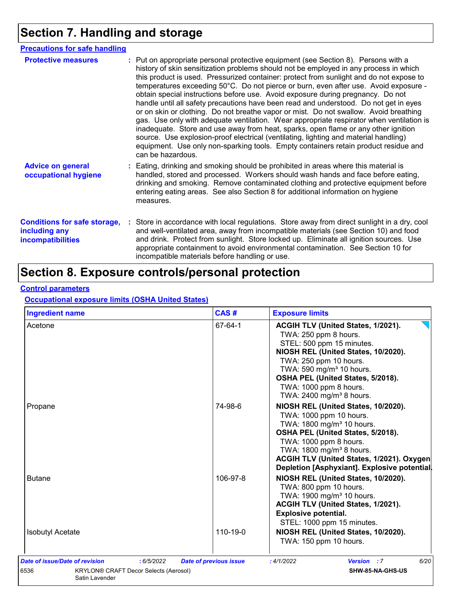## **Section 7. Handling and storage**

| <b>Precautions for safe handling</b>                                             |                                                                                                                                                                                                                                                                                                                                                                                                                                                                                                                                                                                                                                                                                                                                                                                                                                                                                                                                                                                                                           |
|----------------------------------------------------------------------------------|---------------------------------------------------------------------------------------------------------------------------------------------------------------------------------------------------------------------------------------------------------------------------------------------------------------------------------------------------------------------------------------------------------------------------------------------------------------------------------------------------------------------------------------------------------------------------------------------------------------------------------------------------------------------------------------------------------------------------------------------------------------------------------------------------------------------------------------------------------------------------------------------------------------------------------------------------------------------------------------------------------------------------|
| <b>Protective measures</b>                                                       | : Put on appropriate personal protective equipment (see Section 8). Persons with a<br>history of skin sensitization problems should not be employed in any process in which<br>this product is used. Pressurized container: protect from sunlight and do not expose to<br>temperatures exceeding 50°C. Do not pierce or burn, even after use. Avoid exposure -<br>obtain special instructions before use. Avoid exposure during pregnancy. Do not<br>handle until all safety precautions have been read and understood. Do not get in eyes<br>or on skin or clothing. Do not breathe vapor or mist. Do not swallow. Avoid breathing<br>gas. Use only with adequate ventilation. Wear appropriate respirator when ventilation is<br>inadequate. Store and use away from heat, sparks, open flame or any other ignition<br>source. Use explosion-proof electrical (ventilating, lighting and material handling)<br>equipment. Use only non-sparking tools. Empty containers retain product residue and<br>can be hazardous. |
| <b>Advice on general</b><br>occupational hygiene                                 | : Eating, drinking and smoking should be prohibited in areas where this material is<br>handled, stored and processed. Workers should wash hands and face before eating,<br>drinking and smoking. Remove contaminated clothing and protective equipment before<br>entering eating areas. See also Section 8 for additional information on hygiene<br>measures.                                                                                                                                                                                                                                                                                                                                                                                                                                                                                                                                                                                                                                                             |
| <b>Conditions for safe storage,</b><br>including any<br><b>incompatibilities</b> | : Store in accordance with local regulations. Store away from direct sunlight in a dry, cool<br>and well-ventilated area, away from incompatible materials (see Section 10) and food<br>and drink. Protect from sunlight. Store locked up. Eliminate all ignition sources. Use<br>appropriate containment to avoid environmental contamination. See Section 10 for<br>incompatible materials before handling or use.                                                                                                                                                                                                                                                                                                                                                                                                                                                                                                                                                                                                      |

### **Section 8. Exposure controls/personal protection**

#### **Control parameters**

#### **Occupational exposure limits (OSHA United States)**

| <b>Ingredient name</b>  | CAS#     | <b>Exposure limits</b>                                                                                                                                                                                                                                                                                      |
|-------------------------|----------|-------------------------------------------------------------------------------------------------------------------------------------------------------------------------------------------------------------------------------------------------------------------------------------------------------------|
| Acetone                 | 67-64-1  | ACGIH TLV (United States, 1/2021).<br>TWA: 250 ppm 8 hours.<br>STEL: 500 ppm 15 minutes.<br>NIOSH REL (United States, 10/2020).<br>TWA: 250 ppm 10 hours.<br>TWA: 590 mg/m <sup>3</sup> 10 hours.<br>OSHA PEL (United States, 5/2018).<br>TWA: 1000 ppm 8 hours.<br>TWA: 2400 mg/m <sup>3</sup> 8 hours.    |
| Propane                 | 74-98-6  | NIOSH REL (United States, 10/2020).<br>TWA: 1000 ppm 10 hours.<br>TWA: 1800 mg/m <sup>3</sup> 10 hours.<br>OSHA PEL (United States, 5/2018).<br>TWA: 1000 ppm 8 hours.<br>TWA: 1800 mg/m <sup>3</sup> 8 hours.<br>ACGIH TLV (United States, 1/2021). Oxygen<br>Depletion [Asphyxiant]. Explosive potential. |
| <b>Butane</b>           | 106-97-8 | NIOSH REL (United States, 10/2020).<br>TWA: 800 ppm 10 hours.<br>TWA: 1900 mg/m <sup>3</sup> 10 hours.<br>ACGIH TLV (United States, 1/2021).<br><b>Explosive potential.</b><br>STEL: 1000 ppm 15 minutes.                                                                                                   |
| <b>Isobutyl Acetate</b> | 110-19-0 | NIOSH REL (United States, 10/2020).<br>TWA: 150 ppm 10 hours.                                                                                                                                                                                                                                               |
|                         |          |                                                                                                                                                                                                                                                                                                             |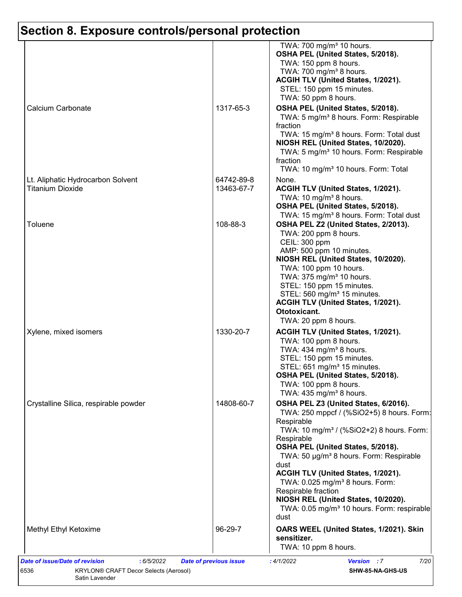|                                                              |                          | TWA: 700 mg/m <sup>3</sup> 10 hours.<br>OSHA PEL (United States, 5/2018).<br>TWA: 150 ppm 8 hours.<br>TWA: 700 mg/m <sup>3</sup> 8 hours.                                                                                                                                                                                                                                                                                                                                                      |
|--------------------------------------------------------------|--------------------------|------------------------------------------------------------------------------------------------------------------------------------------------------------------------------------------------------------------------------------------------------------------------------------------------------------------------------------------------------------------------------------------------------------------------------------------------------------------------------------------------|
|                                                              |                          | ACGIH TLV (United States, 1/2021).<br>STEL: 150 ppm 15 minutes.<br>TWA: 50 ppm 8 hours.                                                                                                                                                                                                                                                                                                                                                                                                        |
| Calcium Carbonate                                            | 1317-65-3                | OSHA PEL (United States, 5/2018).<br>TWA: 5 mg/m <sup>3</sup> 8 hours. Form: Respirable<br>fraction<br>TWA: 15 mg/m <sup>3</sup> 8 hours. Form: Total dust<br>NIOSH REL (United States, 10/2020).<br>TWA: 5 mg/m <sup>3</sup> 10 hours. Form: Respirable<br>fraction<br>TWA: 10 mg/m <sup>3</sup> 10 hours. Form: Total                                                                                                                                                                        |
| Lt. Aliphatic Hydrocarbon Solvent<br><b>Titanium Dioxide</b> | 64742-89-8<br>13463-67-7 | None.<br>ACGIH TLV (United States, 1/2021).<br>TWA: 10 mg/m <sup>3</sup> 8 hours.<br>OSHA PEL (United States, 5/2018).                                                                                                                                                                                                                                                                                                                                                                         |
| Toluene                                                      | 108-88-3                 | TWA: 15 mg/m <sup>3</sup> 8 hours. Form: Total dust<br>OSHA PEL Z2 (United States, 2/2013).<br>TWA: 200 ppm 8 hours.<br>CEIL: 300 ppm<br>AMP: 500 ppm 10 minutes.<br>NIOSH REL (United States, 10/2020).<br>TWA: 100 ppm 10 hours.<br>TWA: 375 mg/m <sup>3</sup> 10 hours.<br>STEL: 150 ppm 15 minutes.<br>STEL: 560 mg/m <sup>3</sup> 15 minutes.<br>ACGIH TLV (United States, 1/2021).<br>Ototoxicant.<br>TWA: 20 ppm 8 hours.                                                               |
| Xylene, mixed isomers                                        | 1330-20-7                | ACGIH TLV (United States, 1/2021).<br>TWA: 100 ppm 8 hours.<br>TWA: 434 mg/m <sup>3</sup> 8 hours.<br>STEL: 150 ppm 15 minutes.<br>STEL: 651 mg/m <sup>3</sup> 15 minutes.<br>OSHA PEL (United States, 5/2018).<br>TWA: 100 ppm 8 hours.<br>TWA: $435 \text{ mg/m}^3$ 8 hours.                                                                                                                                                                                                                 |
| Crystalline Silica, respirable powder                        | 14808-60-7               | OSHA PEL Z3 (United States, 6/2016).<br>TWA: 250 mppcf / (%SiO2+5) 8 hours. Form:<br>Respirable<br>TWA: 10 mg/m <sup>3</sup> / (%SiO2+2) 8 hours. Form:<br>Respirable<br>OSHA PEL (United States, 5/2018).<br>TWA: 50 µg/m <sup>3</sup> 8 hours. Form: Respirable<br>dust<br>ACGIH TLV (United States, 1/2021).<br>TWA: 0.025 mg/m <sup>3</sup> 8 hours. Form:<br>Respirable fraction<br>NIOSH REL (United States, 10/2020).<br>TWA: 0.05 mg/m <sup>3</sup> 10 hours. Form: respirable<br>dust |
| Methyl Ethyl Ketoxime                                        | 96-29-7                  | OARS WEEL (United States, 1/2021). Skin<br>sensitizer.<br>TWA: 10 ppm 8 hours.                                                                                                                                                                                                                                                                                                                                                                                                                 |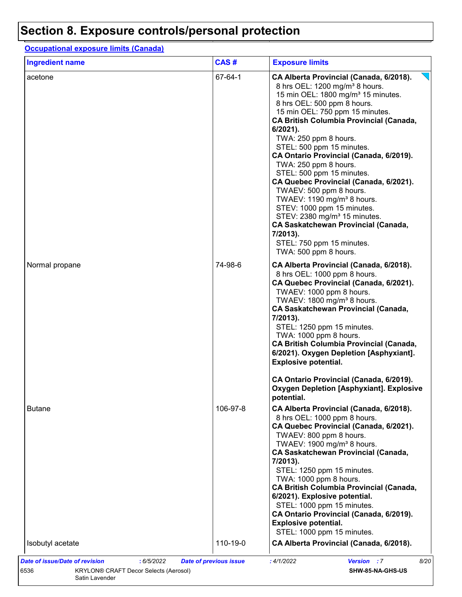### **Occupational exposure limits (Canada)**

| <b>Ingredient name</b> | CAS#     | <b>Exposure limits</b>                                                                                                                                                                                                                                                                                                                                                                                                                                                                                                                                                                                                                                                                                                                  |
|------------------------|----------|-----------------------------------------------------------------------------------------------------------------------------------------------------------------------------------------------------------------------------------------------------------------------------------------------------------------------------------------------------------------------------------------------------------------------------------------------------------------------------------------------------------------------------------------------------------------------------------------------------------------------------------------------------------------------------------------------------------------------------------------|
| acetone                | 67-64-1  | CA Alberta Provincial (Canada, 6/2018).<br>8 hrs OEL: 1200 mg/m <sup>3</sup> 8 hours.<br>15 min OEL: 1800 mg/m <sup>3</sup> 15 minutes.<br>8 hrs OEL: 500 ppm 8 hours.<br>15 min OEL: 750 ppm 15 minutes.<br><b>CA British Columbia Provincial (Canada,</b><br>6/2021).<br>TWA: 250 ppm 8 hours.<br>STEL: 500 ppm 15 minutes.<br>CA Ontario Provincial (Canada, 6/2019).<br>TWA: 250 ppm 8 hours.<br>STEL: 500 ppm 15 minutes.<br>CA Quebec Provincial (Canada, 6/2021).<br>TWAEV: 500 ppm 8 hours.<br>TWAEV: 1190 mg/m <sup>3</sup> 8 hours.<br>STEV: 1000 ppm 15 minutes.<br>STEV: 2380 mg/m <sup>3</sup> 15 minutes.<br><b>CA Saskatchewan Provincial (Canada,</b><br>7/2013).<br>STEL: 750 ppm 15 minutes.<br>TWA: 500 ppm 8 hours. |
| Normal propane         | 74-98-6  | CA Alberta Provincial (Canada, 6/2018).<br>8 hrs OEL: 1000 ppm 8 hours.<br>CA Quebec Provincial (Canada, 6/2021).<br>TWAEV: 1000 ppm 8 hours.<br>TWAEV: $1800 \text{ mg/m}^3$ 8 hours.<br><b>CA Saskatchewan Provincial (Canada,</b><br>7/2013).<br>STEL: 1250 ppm 15 minutes.<br>TWA: 1000 ppm 8 hours.<br><b>CA British Columbia Provincial (Canada,</b><br>6/2021). Oxygen Depletion [Asphyxiant].<br><b>Explosive potential.</b>                                                                                                                                                                                                                                                                                                    |
|                        |          | CA Ontario Provincial (Canada, 6/2019).<br><b>Oxygen Depletion [Asphyxiant]. Explosive</b><br>potential.                                                                                                                                                                                                                                                                                                                                                                                                                                                                                                                                                                                                                                |
| <b>Butane</b>          | 106-97-8 | CA Alberta Provincial (Canada, 6/2018).<br>8 hrs OEL: 1000 ppm 8 hours.<br>CA Quebec Provincial (Canada, 6/2021).<br>TWAEV: 800 ppm 8 hours.<br>TWAEV: 1900 mg/m <sup>3</sup> 8 hours.<br><b>CA Saskatchewan Provincial (Canada,</b><br>7/2013).<br>STEL: 1250 ppm 15 minutes.<br>TWA: 1000 ppm 8 hours.<br><b>CA British Columbia Provincial (Canada,</b><br>6/2021). Explosive potential.<br>STEL: 1000 ppm 15 minutes.<br>CA Ontario Provincial (Canada, 6/2019).<br><b>Explosive potential.</b><br>STEL: 1000 ppm 15 minutes.                                                                                                                                                                                                       |
| Isobutyl acetate       | 110-19-0 | CA Alberta Provincial (Canada, 6/2018).                                                                                                                                                                                                                                                                                                                                                                                                                                                                                                                                                                                                                                                                                                 |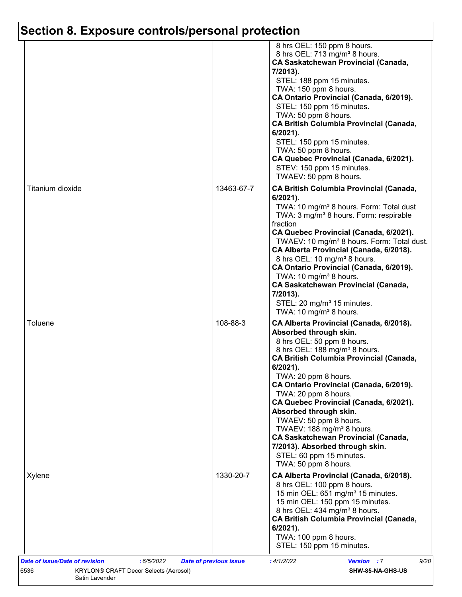|                  |            | 8 hrs OEL: 150 ppm 8 hours.<br>8 hrs OEL: 713 mg/m <sup>3</sup> 8 hours.<br><b>CA Saskatchewan Provincial (Canada,</b><br>7/2013).<br>STEL: 188 ppm 15 minutes.<br>TWA: 150 ppm 8 hours.<br>CA Ontario Provincial (Canada, 6/2019).<br>STEL: 150 ppm 15 minutes.<br>TWA: 50 ppm 8 hours.<br><b>CA British Columbia Provincial (Canada,</b><br>6/2021).<br>STEL: 150 ppm 15 minutes.<br>TWA: 50 ppm 8 hours.<br>CA Quebec Provincial (Canada, 6/2021).<br>STEV: 150 ppm 15 minutes.<br>TWAEV: 50 ppm 8 hours.                                                                                                 |
|------------------|------------|--------------------------------------------------------------------------------------------------------------------------------------------------------------------------------------------------------------------------------------------------------------------------------------------------------------------------------------------------------------------------------------------------------------------------------------------------------------------------------------------------------------------------------------------------------------------------------------------------------------|
| Titanium dioxide | 13463-67-7 | <b>CA British Columbia Provincial (Canada,</b><br>$6/2021$ ).<br>TWA: 10 mg/m <sup>3</sup> 8 hours. Form: Total dust<br>TWA: 3 mg/m <sup>3</sup> 8 hours. Form: respirable<br>fraction<br>CA Quebec Provincial (Canada, 6/2021).<br>TWAEV: 10 mg/m <sup>3</sup> 8 hours. Form: Total dust.<br>CA Alberta Provincial (Canada, 6/2018).<br>8 hrs OEL: 10 mg/m <sup>3</sup> 8 hours.<br>CA Ontario Provincial (Canada, 6/2019).<br>TWA: 10 mg/m <sup>3</sup> 8 hours.<br><b>CA Saskatchewan Provincial (Canada,</b><br>7/2013).<br>STEL: 20 mg/m <sup>3</sup> 15 minutes.<br>TWA: 10 mg/m <sup>3</sup> 8 hours. |
| Toluene          | 108-88-3   | CA Alberta Provincial (Canada, 6/2018).<br>Absorbed through skin.<br>8 hrs OEL: 50 ppm 8 hours.<br>8 hrs OEL: 188 mg/m <sup>3</sup> 8 hours.<br><b>CA British Columbia Provincial (Canada,</b><br>$6/2021$ ).<br>TWA: 20 ppm 8 hours.<br>CA Ontario Provincial (Canada, 6/2019).<br>TWA: 20 ppm 8 hours.<br>CA Quebec Provincial (Canada, 6/2021).<br>Absorbed through skin.<br>TWAEV: 50 ppm 8 hours.<br>TWAEV: 188 mg/m <sup>3</sup> 8 hours.<br><b>CA Saskatchewan Provincial (Canada,</b><br>7/2013). Absorbed through skin.<br>STEL: 60 ppm 15 minutes.<br>TWA: 50 ppm 8 hours.                         |
| Xylene           | 1330-20-7  | CA Alberta Provincial (Canada, 6/2018).<br>8 hrs OEL: 100 ppm 8 hours.<br>15 min OEL: 651 mg/m <sup>3</sup> 15 minutes.<br>15 min OEL: 150 ppm 15 minutes.<br>8 hrs OEL: 434 mg/m <sup>3</sup> 8 hours.<br><b>CA British Columbia Provincial (Canada,</b><br>$6/2021$ ).<br>TWA: 100 ppm 8 hours.<br>STEL: 150 ppm 15 minutes.                                                                                                                                                                                                                                                                               |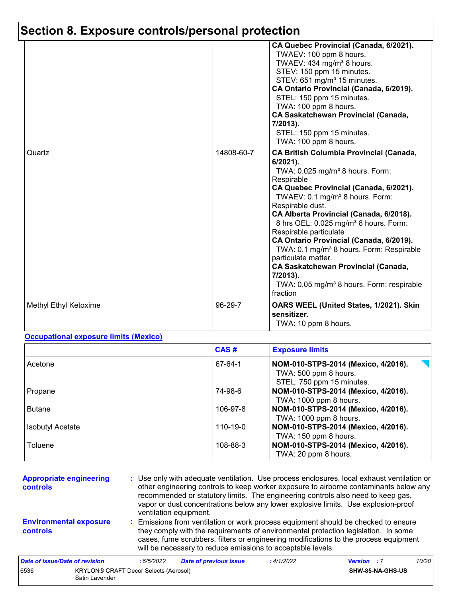|                       |            | CA Quebec Provincial (Canada, 6/2021).<br>TWAEV: 100 ppm 8 hours.<br>TWAEV: 434 mg/m <sup>3</sup> 8 hours.<br>STEV: 150 ppm 15 minutes.<br>STEV: 651 mg/m <sup>3</sup> 15 minutes.<br>CA Ontario Provincial (Canada, 6/2019).<br>STEL: 150 ppm 15 minutes.<br>TWA: 100 ppm 8 hours.<br><b>CA Saskatchewan Provincial (Canada,</b><br>7/2013).<br>STEL: 150 ppm 15 minutes.<br>TWA: 100 ppm 8 hours.                                                                                                                                                                                                                           |
|-----------------------|------------|-------------------------------------------------------------------------------------------------------------------------------------------------------------------------------------------------------------------------------------------------------------------------------------------------------------------------------------------------------------------------------------------------------------------------------------------------------------------------------------------------------------------------------------------------------------------------------------------------------------------------------|
| Quartz                | 14808-60-7 | <b>CA British Columbia Provincial (Canada,</b><br>$6/2021$ ).<br>TWA: 0.025 mg/m <sup>3</sup> 8 hours. Form:<br>Respirable<br>CA Quebec Provincial (Canada, 6/2021).<br>TWAEV: 0.1 mg/m <sup>3</sup> 8 hours. Form:<br>Respirable dust.<br>CA Alberta Provincial (Canada, 6/2018).<br>8 hrs OEL: 0.025 mg/m <sup>3</sup> 8 hours. Form:<br>Respirable particulate<br>CA Ontario Provincial (Canada, 6/2019).<br>TWA: 0.1 mg/m <sup>3</sup> 8 hours. Form: Respirable<br>particulate matter.<br><b>CA Saskatchewan Provincial (Canada,</b><br>$7/2013$ ).<br>TWA: 0.05 mg/m <sup>3</sup> 8 hours. Form: respirable<br>fraction |
| Methyl Ethyl Ketoxime | 96-29-7    | OARS WEEL (United States, 1/2021). Skin<br>sensitizer.<br>TWA: 10 ppm 8 hours.                                                                                                                                                                                                                                                                                                                                                                                                                                                                                                                                                |

#### **Occupational exposure limits (Mexico)**

Satin Lavender

|                         | CAS#           | <b>Exposure limits</b>                                                                    |
|-------------------------|----------------|-------------------------------------------------------------------------------------------|
| Acetone                 | 67-64-1        | NOM-010-STPS-2014 (Mexico, 4/2016).<br>TWA: 500 ppm 8 hours.<br>STEL: 750 ppm 15 minutes. |
| Propane                 | 74-98-6        | NOM-010-STPS-2014 (Mexico, 4/2016).<br>TWA: 1000 ppm 8 hours.                             |
| <b>Butane</b>           | 106-97-8       | NOM-010-STPS-2014 (Mexico, 4/2016).<br>TWA: 1000 ppm 8 hours.                             |
| <b>Isobutyl Acetate</b> | $110 - 19 - 0$ | NOM-010-STPS-2014 (Mexico, 4/2016).<br>TWA: 150 ppm 8 hours.                              |
| Toluene                 | 108-88-3       | NOM-010-STPS-2014 (Mexico, 4/2016).<br>TWA: 20 ppm 8 hours.                               |

| <b>Appropriate engineering</b><br><b>controls</b> |                                              | : Use only with adequate ventilation. Use process enclosures, local exhaust ventilation or<br>other engineering controls to keep worker exposure to airborne contaminants below any<br>recommended or statutory limits. The engineering controls also need to keep gas,<br>vapor or dust concentrations below any lower explosive limits. Use explosion-proof<br>ventilation equipment. |                                                                                                                                                                                                                                                                                                                                 |           |                    |       |  |
|---------------------------------------------------|----------------------------------------------|-----------------------------------------------------------------------------------------------------------------------------------------------------------------------------------------------------------------------------------------------------------------------------------------------------------------------------------------------------------------------------------------|---------------------------------------------------------------------------------------------------------------------------------------------------------------------------------------------------------------------------------------------------------------------------------------------------------------------------------|-----------|--------------------|-------|--|
| <b>Environmental exposure</b><br><b>controls</b>  |                                              |                                                                                                                                                                                                                                                                                                                                                                                         | : Emissions from ventilation or work process equipment should be checked to ensure<br>they comply with the requirements of environmental protection legislation. In some<br>cases, fume scrubbers, filters or engineering modifications to the process equipment<br>will be necessary to reduce emissions to acceptable levels. |           |                    |       |  |
| Date of issue/Date of revision                    |                                              | : 6/5/2022                                                                                                                                                                                                                                                                                                                                                                              | <b>Date of previous issue</b>                                                                                                                                                                                                                                                                                                   | :4/1/2022 | <b>Version</b> : 7 | 10/20 |  |
| 6536                                              | <b>KRYLON® CRAFT Decor Selects (Aerosol)</b> |                                                                                                                                                                                                                                                                                                                                                                                         |                                                                                                                                                                                                                                                                                                                                 |           | SHW-85-NA-GHS-US   |       |  |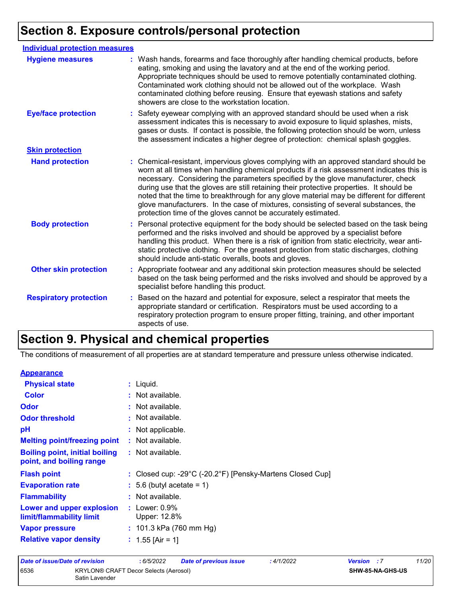| <b>Individual protection measures</b> |                                                                                                                                                                                                                                                                                                                                                                                                                                                                                                                                                                                                                        |
|---------------------------------------|------------------------------------------------------------------------------------------------------------------------------------------------------------------------------------------------------------------------------------------------------------------------------------------------------------------------------------------------------------------------------------------------------------------------------------------------------------------------------------------------------------------------------------------------------------------------------------------------------------------------|
| <b>Hygiene measures</b>               | : Wash hands, forearms and face thoroughly after handling chemical products, before<br>eating, smoking and using the lavatory and at the end of the working period.<br>Appropriate techniques should be used to remove potentially contaminated clothing.<br>Contaminated work clothing should not be allowed out of the workplace. Wash<br>contaminated clothing before reusing. Ensure that eyewash stations and safety<br>showers are close to the workstation location.                                                                                                                                            |
| <b>Eye/face protection</b>            | : Safety eyewear complying with an approved standard should be used when a risk<br>assessment indicates this is necessary to avoid exposure to liquid splashes, mists,<br>gases or dusts. If contact is possible, the following protection should be worn, unless<br>the assessment indicates a higher degree of protection: chemical splash goggles.                                                                                                                                                                                                                                                                  |
| <b>Skin protection</b>                |                                                                                                                                                                                                                                                                                                                                                                                                                                                                                                                                                                                                                        |
| <b>Hand protection</b>                | : Chemical-resistant, impervious gloves complying with an approved standard should be<br>worn at all times when handling chemical products if a risk assessment indicates this is<br>necessary. Considering the parameters specified by the glove manufacturer, check<br>during use that the gloves are still retaining their protective properties. It should be<br>noted that the time to breakthrough for any glove material may be different for different<br>glove manufacturers. In the case of mixtures, consisting of several substances, the<br>protection time of the gloves cannot be accurately estimated. |
| <b>Body protection</b>                | : Personal protective equipment for the body should be selected based on the task being<br>performed and the risks involved and should be approved by a specialist before<br>handling this product. When there is a risk of ignition from static electricity, wear anti-<br>static protective clothing. For the greatest protection from static discharges, clothing<br>should include anti-static overalls, boots and gloves.                                                                                                                                                                                         |
| <b>Other skin protection</b>          | : Appropriate footwear and any additional skin protection measures should be selected<br>based on the task being performed and the risks involved and should be approved by a<br>specialist before handling this product.                                                                                                                                                                                                                                                                                                                                                                                              |
| <b>Respiratory protection</b>         | : Based on the hazard and potential for exposure, select a respirator that meets the<br>appropriate standard or certification. Respirators must be used according to a<br>respiratory protection program to ensure proper fitting, training, and other important<br>aspects of use.                                                                                                                                                                                                                                                                                                                                    |

## **Section 9. Physical and chemical properties**

The conditions of measurement of all properties are at standard temperature and pressure unless otherwise indicated.

#### **Appearance**

| <b>Physical state</b>                                             | : Liquid.                                                 |
|-------------------------------------------------------------------|-----------------------------------------------------------|
| <b>Color</b>                                                      | : Not available.                                          |
| <b>Odor</b>                                                       | : Not available.                                          |
| <b>Odor threshold</b>                                             | : Not available.                                          |
| pH                                                                | : Not applicable.                                         |
| <b>Melting point/freezing point</b>                               | : Not available.                                          |
| <b>Boiling point, initial boiling</b><br>point, and boiling range | : Not available.                                          |
| <b>Flash point</b>                                                | : Closed cup: -29°C (-20.2°F) [Pensky-Martens Closed Cup] |
| <b>Evaporation rate</b>                                           | $: 5.6$ (butyl acetate = 1)                               |
| <b>Flammability</b>                                               | : Not available.                                          |
| Lower and upper explosion<br>limit/flammability limit             | : Lower: $0.9\%$<br>Upper: 12.8%                          |
| <b>Vapor pressure</b>                                             | : 101.3 kPa (760 mm Hg)                                   |
| <b>Relative vapor density</b>                                     | : $1.55$ [Air = 1]                                        |

| Date of issue/Date of revision |                                                                | : 6/5/2022 | <b>Date of previous issue</b> | : 4/1/2022              | <b>Version</b> : 7 | 11/20 |
|--------------------------------|----------------------------------------------------------------|------------|-------------------------------|-------------------------|--------------------|-------|
| 6536                           | <b>KRYLON® CRAFT Decor Selects (Aerosol)</b><br>Satin Lavender |            |                               | <b>SHW-85-NA-GHS-US</b> |                    |       |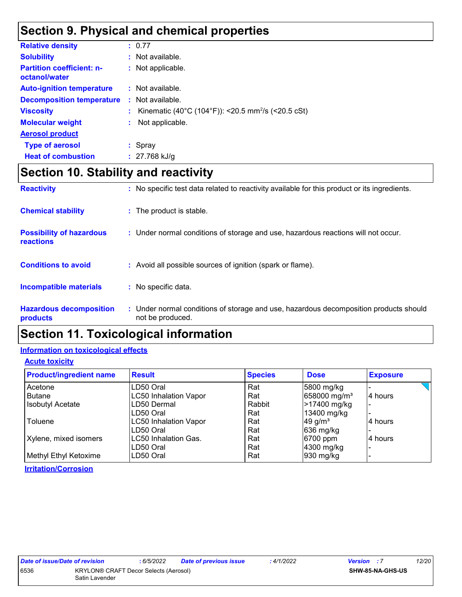### **Section 9. Physical and chemical properties**

| <b>Relative density</b>                           | : 0.77                                                         |
|---------------------------------------------------|----------------------------------------------------------------|
| <b>Solubility</b>                                 | : Not available.                                               |
| <b>Partition coefficient: n-</b><br>octanol/water | : Not applicable.                                              |
| <b>Auto-ignition temperature</b>                  | $\therefore$ Not available.                                    |
| <b>Decomposition temperature</b>                  | $\therefore$ Not available.                                    |
| <b>Viscosity</b>                                  | Kinematic (40°C (104°F)): <20.5 mm <sup>2</sup> /s (<20.5 cSt) |
| <b>Molecular weight</b>                           | Not applicable.                                                |
| <b>Aerosol product</b>                            |                                                                |
| <b>Type of aerosol</b>                            | $:$ Spray                                                      |
| <b>Heat of combustion</b>                         | $: 27.768$ kJ/g                                                |

## **Section 10. Stability and reactivity**

| <b>Reactivity</b>                            | : No specific test data related to reactivity available for this product or its ingredients.              |
|----------------------------------------------|-----------------------------------------------------------------------------------------------------------|
| <b>Chemical stability</b>                    | : The product is stable.                                                                                  |
| <b>Possibility of hazardous</b><br>reactions | : Under normal conditions of storage and use, hazardous reactions will not occur.                         |
| <b>Conditions to avoid</b>                   | : Avoid all possible sources of ignition (spark or flame).                                                |
| <b>Incompatible materials</b>                | : No specific data.                                                                                       |
| <b>Hazardous decomposition</b><br>products   | : Under normal conditions of storage and use, hazardous decomposition products should<br>not be produced. |

### **Section 11. Toxicological information**

### **Information on toxicological effects**

#### **Acute toxicity**

| <b>Product/ingredient name</b> | <b>Result</b>                | <b>Species</b> | <b>Dose</b>              | <b>Exposure</b> |
|--------------------------------|------------------------------|----------------|--------------------------|-----------------|
| Acetone                        | LD50 Oral                    | Rat            | 5800 mg/kg               |                 |
| <b>Butane</b>                  | <b>LC50 Inhalation Vapor</b> | Rat            | 658000 mg/m <sup>3</sup> | 4 hours         |
| <b>Isobutyl Acetate</b>        | LD50 Dermal                  | Rabbit         | >17400 mg/kg             |                 |
|                                | LD50 Oral                    | Rat            | 13400 mg/kg              |                 |
| Toluene                        | <b>LC50 Inhalation Vapor</b> | Rat            | 49 g/ $m3$               | 14 hours        |
|                                | LD50 Oral                    | Rat            | 636 mg/kg                |                 |
| Xylene, mixed isomers          | LC50 Inhalation Gas.         | Rat            | 6700 ppm                 | 4 hours         |
|                                | LD50 Oral                    | Rat            | 4300 mg/kg               |                 |
| Methyl Ethyl Ketoxime          | LD50 Oral                    | Rat            | 930 mg/kg                |                 |

**Irritation/Corrosion**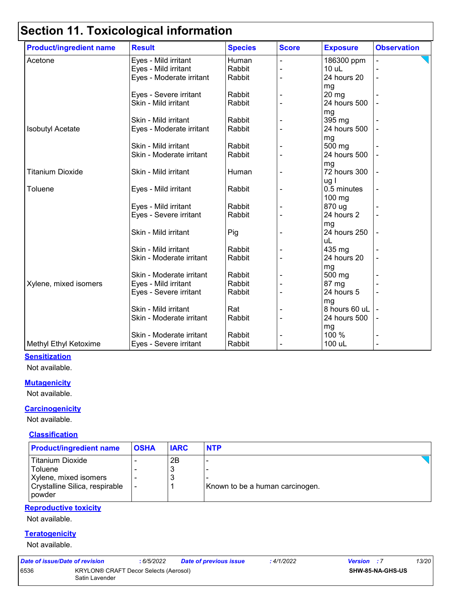| <b>Product/ingredient name</b> | <b>Result</b>            | <b>Species</b> | <b>Score</b> | <b>Exposure</b> | <b>Observation</b> |
|--------------------------------|--------------------------|----------------|--------------|-----------------|--------------------|
| Acetone                        | Eyes - Mild irritant     | Human          |              | 186300 ppm      |                    |
|                                | Eyes - Mild irritant     | Rabbit         |              | 10 uL           |                    |
|                                | Eyes - Moderate irritant | Rabbit         |              | 24 hours 20     |                    |
|                                |                          |                |              | mg              |                    |
|                                | Eyes - Severe irritant   | Rabbit         |              | $20$ mg         |                    |
|                                | Skin - Mild irritant     | Rabbit         |              | 24 hours 500    |                    |
|                                |                          |                |              | mg              |                    |
|                                | Skin - Mild irritant     | Rabbit         |              | 395 mg          |                    |
| <b>Isobutyl Acetate</b>        | Eyes - Moderate irritant | Rabbit         |              | 24 hours 500    |                    |
|                                |                          |                |              | mg              |                    |
|                                | Skin - Mild irritant     | Rabbit         |              | 500 mg          |                    |
|                                | Skin - Moderate irritant | Rabbit         |              | 24 hours 500    |                    |
|                                |                          |                |              | mg              |                    |
| <b>Titanium Dioxide</b>        | Skin - Mild irritant     | Human          |              | 72 hours 300    |                    |
|                                |                          |                |              | ug l            |                    |
| Toluene                        | Eyes - Mild irritant     | Rabbit         |              | 0.5 minutes     |                    |
|                                |                          |                |              | $100$ mg        |                    |
|                                | Eyes - Mild irritant     | Rabbit         |              | 870 ug          |                    |
|                                | Eyes - Severe irritant   | Rabbit         |              | 24 hours 2      |                    |
|                                |                          |                |              | mg              |                    |
|                                | Skin - Mild irritant     | Pig            |              | 24 hours 250    |                    |
|                                |                          |                |              | uL              |                    |
|                                | Skin - Mild irritant     | Rabbit         |              | 435 mg          |                    |
|                                | Skin - Moderate irritant | Rabbit         |              | 24 hours 20     |                    |
|                                |                          |                |              | mg              |                    |
|                                | Skin - Moderate irritant | Rabbit         |              | 500 mg          |                    |
| Xylene, mixed isomers          | Eyes - Mild irritant     | Rabbit         |              | 87 mg           |                    |
|                                | Eyes - Severe irritant   | Rabbit         |              | 24 hours 5      |                    |
|                                |                          |                |              | mg              |                    |
|                                | Skin - Mild irritant     | Rat            |              | 8 hours 60 uL   |                    |
|                                | Skin - Moderate irritant | Rabbit         |              | 24 hours 500    |                    |
|                                |                          |                |              | mg              |                    |
|                                | Skin - Moderate irritant | Rabbit         |              | 100 %           |                    |
| Methyl Ethyl Ketoxime          | Eyes - Severe irritant   | Rabbit         |              | 100 uL          |                    |

#### **Sensitization**

Not available.

#### **Mutagenicity**

Not available.

#### **Carcinogenicity**

Not available.

#### **Classification**

| <b>Product/ingredient name</b>           | <b>OSHA</b> | <b>IARC</b> | <b>NTP</b>                      |
|------------------------------------------|-------------|-------------|---------------------------------|
| Titanium Dioxide                         |             | 2B          |                                 |
| <b>Toluene</b>                           |             | 3           |                                 |
| Xylene, mixed isomers                    |             | 3           |                                 |
| Crystalline Silica, respirable<br>powder |             |             | Known to be a human carcinogen. |

#### **Reproductive toxicity**

Not available.

#### **Teratogenicity**

Not available.

| Date of issue/Date of revision |                                                         | : 6/5/2022 | <b>Date of previous issue</b> | 4/1/2022 | <b>Version</b> : 7      | 13/20 |
|--------------------------------|---------------------------------------------------------|------------|-------------------------------|----------|-------------------------|-------|
| 6536                           | KRYLON® CRAFT Decor Selects (Aerosol)<br>Satin Lavender |            |                               |          | <b>SHW-85-NA-GHS-US</b> |       |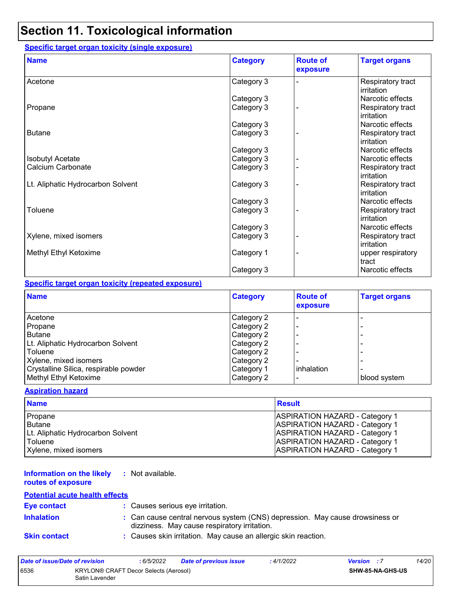### **Specific target organ toxicity (single exposure)**

| <b>Name</b>                       | <b>Category</b> | <b>Route of</b><br>exposure | <b>Target organs</b>            |
|-----------------------------------|-----------------|-----------------------------|---------------------------------|
| Acetone                           | Category 3      |                             | Respiratory tract<br>irritation |
|                                   | Category 3      |                             | Narcotic effects                |
| Propane                           | Category 3      |                             | Respiratory tract<br>irritation |
|                                   | Category 3      |                             | Narcotic effects                |
| <b>Butane</b>                     | Category 3      |                             | Respiratory tract<br>irritation |
|                                   | Category 3      |                             | Narcotic effects                |
| <b>Isobutyl Acetate</b>           | Category 3      |                             | Narcotic effects                |
| Calcium Carbonate                 | Category 3      |                             | Respiratory tract<br>irritation |
| Lt. Aliphatic Hydrocarbon Solvent | Category 3      |                             | Respiratory tract<br>irritation |
|                                   | Category 3      |                             | Narcotic effects                |
| Toluene                           | Category 3      |                             | Respiratory tract<br>irritation |
|                                   | Category 3      |                             | Narcotic effects                |
| Xylene, mixed isomers             | Category 3      |                             | Respiratory tract<br>irritation |
| Methyl Ethyl Ketoxime             | Category 1      |                             | upper respiratory<br>tract      |
|                                   | Category 3      |                             | Narcotic effects                |

#### **Specific target organ toxicity (repeated exposure)**

| <b>Name</b>                           | <b>Category</b> | <b>Route of</b><br>exposure | <b>Target organs</b> |
|---------------------------------------|-----------------|-----------------------------|----------------------|
| Acetone                               | Category 2      |                             |                      |
| Propane                               | Category 2      |                             |                      |
| <b>Butane</b>                         | Category 2      |                             |                      |
| Lt. Aliphatic Hydrocarbon Solvent     | Category 2      |                             |                      |
| Toluene                               | Category 2      |                             |                      |
| Xylene, mixed isomers                 | Category 2      |                             |                      |
| Crystalline Silica, respirable powder | Category 1      | inhalation                  |                      |
| Methyl Ethyl Ketoxime                 | Category 2      |                             | blood system         |

#### **Aspiration hazard**

| <b>Name</b>                       | <b>Result</b>                         |
|-----------------------------------|---------------------------------------|
| Propane                           | <b>ASPIRATION HAZARD - Category 1</b> |
| l Butane                          | <b>ASPIRATION HAZARD - Category 1</b> |
| Lt. Aliphatic Hydrocarbon Solvent | <b>ASPIRATION HAZARD - Category 1</b> |
| Toluene                           | <b>ASPIRATION HAZARD - Category 1</b> |
| Xylene, mixed isomers             | <b>ASPIRATION HAZARD - Category 1</b> |

#### **Information on the likely :** Not available. **routes of exposure**

#### **Potential acute health effects**

| Eye contact         | : Causes serious eye irritation.                                                                                             |
|---------------------|------------------------------------------------------------------------------------------------------------------------------|
| <b>Inhalation</b>   | : Can cause central nervous system (CNS) depression. May cause drowsiness or<br>dizziness. May cause respiratory irritation. |
| <b>Skin contact</b> | : Causes skin irritation. May cause an allergic skin reaction.                                                               |

| Date of issue/Date of revision |                                                                | : 6/5/2022 | <b>Date of previous issue</b> | : 4/1/2022 | <b>Version</b> : 7 |                  | 14/201 |
|--------------------------------|----------------------------------------------------------------|------------|-------------------------------|------------|--------------------|------------------|--------|
| 6536                           | <b>KRYLON® CRAFT Decor Selects (Aerosol)</b><br>Satin Lavender |            |                               |            |                    | SHW-85-NA-GHS-US |        |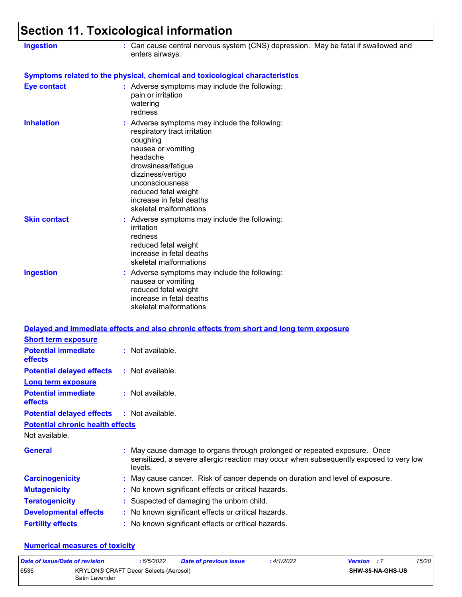| <b>Ingestion</b>                                              | : Can cause central nervous system (CNS) depression. May be fatal if swallowed and<br>enters airways.                                                                                                                                                                   |  |  |  |  |
|---------------------------------------------------------------|-------------------------------------------------------------------------------------------------------------------------------------------------------------------------------------------------------------------------------------------------------------------------|--|--|--|--|
|                                                               | <b>Symptoms related to the physical, chemical and toxicological characteristics</b>                                                                                                                                                                                     |  |  |  |  |
| <b>Eye contact</b>                                            | : Adverse symptoms may include the following:<br>pain or irritation<br>watering<br>redness                                                                                                                                                                              |  |  |  |  |
| <b>Inhalation</b>                                             | : Adverse symptoms may include the following:<br>respiratory tract irritation<br>coughing<br>nausea or vomiting<br>headache<br>drowsiness/fatigue<br>dizziness/vertigo<br>unconsciousness<br>reduced fetal weight<br>increase in fetal deaths<br>skeletal malformations |  |  |  |  |
| <b>Skin contact</b>                                           | : Adverse symptoms may include the following:<br>irritation<br>redness<br>reduced fetal weight<br>increase in fetal deaths<br>skeletal malformations                                                                                                                    |  |  |  |  |
| <b>Ingestion</b>                                              | : Adverse symptoms may include the following:<br>nausea or vomiting<br>reduced fetal weight<br>increase in fetal deaths<br>skeletal malformations                                                                                                                       |  |  |  |  |
|                                                               | Delayed and immediate effects and also chronic effects from short and long term exposure                                                                                                                                                                                |  |  |  |  |
| <b>Short term exposure</b>                                    |                                                                                                                                                                                                                                                                         |  |  |  |  |
| <b>Potential immediate</b><br>effects                         | : Not available.                                                                                                                                                                                                                                                        |  |  |  |  |
| <b>Potential delayed effects</b><br><b>Long term exposure</b> | : Not available.                                                                                                                                                                                                                                                        |  |  |  |  |
| <b>Potential immediate</b><br>effects                         | : Not available.                                                                                                                                                                                                                                                        |  |  |  |  |
| <b>Potential delayed effects</b>                              | : Not available.                                                                                                                                                                                                                                                        |  |  |  |  |
| <b>Potential chronic health effects</b>                       |                                                                                                                                                                                                                                                                         |  |  |  |  |
| Not available.                                                |                                                                                                                                                                                                                                                                         |  |  |  |  |
| <b>General</b>                                                | May cause damage to organs through prolonged or repeated exposure. Once<br>sensitized, a severe allergic reaction may occur when subsequently exposed to very low<br>levels.                                                                                            |  |  |  |  |
| <b>Carcinogenicity</b>                                        | May cause cancer. Risk of cancer depends on duration and level of exposure.                                                                                                                                                                                             |  |  |  |  |
| <b>Mutagenicity</b>                                           | No known significant effects or critical hazards.                                                                                                                                                                                                                       |  |  |  |  |
| <b>Teratogenicity</b>                                         | Suspected of damaging the unborn child.                                                                                                                                                                                                                                 |  |  |  |  |
| <b>Developmental effects</b>                                  | No known significant effects or critical hazards.                                                                                                                                                                                                                       |  |  |  |  |
| <b>Fertility effects</b>                                      | : No known significant effects or critical hazards.                                                                                                                                                                                                                     |  |  |  |  |

#### **Numerical measures of toxicity**

| Date of issue/Date of revision |                                                         | : 6/5/2022 | <b>Date of previous issue</b> | : 4/1/2022 | <b>Version</b> : 7 |                         | 15/20 |
|--------------------------------|---------------------------------------------------------|------------|-------------------------------|------------|--------------------|-------------------------|-------|
| 6536                           | KRYLON® CRAFT Decor Selects (Aerosol)<br>Satin Lavender |            |                               |            |                    | <b>SHW-85-NA-GHS-US</b> |       |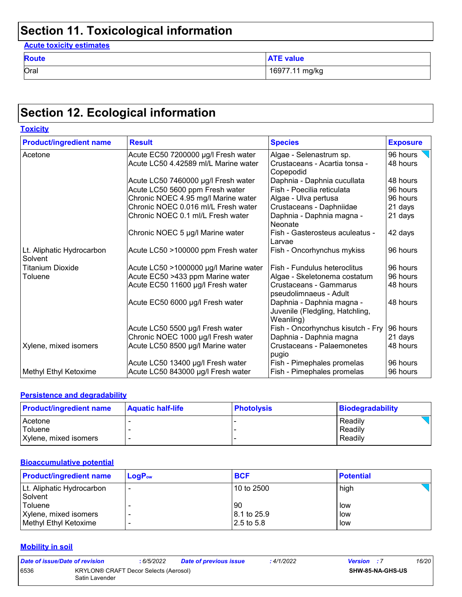#### **Acute toxicity estimates**

| <b>Route</b> | <b>ATE value</b> |
|--------------|------------------|
| Oral         | 16977.11 mg/kg   |

### **Section 12. Ecological information**

| <b>Toxicity</b>                      |                                       |                                                                           |                 |
|--------------------------------------|---------------------------------------|---------------------------------------------------------------------------|-----------------|
| <b>Product/ingredient name</b>       | <b>Result</b>                         | <b>Species</b>                                                            | <b>Exposure</b> |
| Acetone                              | Acute EC50 7200000 µg/l Fresh water   | Algae - Selenastrum sp.                                                   | 96 hours        |
|                                      | Acute LC50 4.42589 ml/L Marine water  | Crustaceans - Acartia tonsa -<br>Copepodid                                | 48 hours        |
|                                      | Acute LC50 7460000 µg/l Fresh water   | Daphnia - Daphnia cucullata                                               | 48 hours        |
|                                      | Acute LC50 5600 ppm Fresh water       | Fish - Poecilia reticulata                                                | 96 hours        |
|                                      | Chronic NOEC 4.95 mg/l Marine water   | Algae - Ulva pertusa                                                      | 96 hours        |
|                                      | Chronic NOEC 0.016 ml/L Fresh water   | Crustaceans - Daphniidae                                                  | 21 days         |
|                                      | Chronic NOEC 0.1 ml/L Fresh water     | Daphnia - Daphnia magna -<br>Neonate                                      | 21 days         |
|                                      | Chronic NOEC 5 µg/l Marine water      | Fish - Gasterosteus aculeatus -<br>Larvae                                 | 42 days         |
| Lt. Aliphatic Hydrocarbon<br>Solvent | Acute LC50 >100000 ppm Fresh water    | Fish - Oncorhynchus mykiss                                                | 96 hours        |
| <b>Titanium Dioxide</b>              | Acute LC50 >1000000 µg/l Marine water | Fish - Fundulus heteroclitus                                              | 96 hours        |
| Toluene                              | Acute EC50 >433 ppm Marine water      | Algae - Skeletonema costatum                                              | 96 hours        |
|                                      | Acute EC50 11600 µg/l Fresh water     | Crustaceans - Gammarus<br>pseudolimnaeus - Adult                          | 48 hours        |
|                                      | Acute EC50 6000 µg/l Fresh water      | Daphnia - Daphnia magna -<br>Juvenile (Fledgling, Hatchling,<br>Weanling) | 48 hours        |
|                                      | Acute LC50 5500 µg/l Fresh water      | Fish - Oncorhynchus kisutch - Fry                                         | 96 hours        |
|                                      | Chronic NOEC 1000 µg/l Fresh water    | Daphnia - Daphnia magna                                                   | 21 days         |
| Xylene, mixed isomers                | Acute LC50 8500 µg/l Marine water     | Crustaceans - Palaemonetes<br>pugio                                       | 48 hours        |
|                                      | Acute LC50 13400 µg/l Fresh water     | Fish - Pimephales promelas                                                | 96 hours        |
| Methyl Ethyl Ketoxime                | Acute LC50 843000 µg/l Fresh water    | Fish - Pimephales promelas                                                | 96 hours        |

#### **Persistence and degradability**

| <b>Product/ingredient name</b> | <b>Aquatic half-life</b> | <b>Photolysis</b> | Biodegradability |
|--------------------------------|--------------------------|-------------------|------------------|
| Acetone                        |                          |                   | Readily          |
| Toluene                        |                          |                   | Readily          |
| Xylene, mixed isomers          |                          |                   | Readily          |

#### **Bioaccumulative potential**

| <b>Product/ingredient name</b> | $LogP_{ow}$              | <b>BCF</b>  | <b>Potential</b> |
|--------------------------------|--------------------------|-------------|------------------|
| Lt. Aliphatic Hydrocarbon      |                          | 10 to 2500  | high             |
| Solvent                        |                          |             |                  |
| Toluene                        |                          | 90          | low              |
| Xylene, mixed isomers          | $\overline{\phantom{a}}$ | 8.1 to 25.9 | low              |
| Methyl Ethyl Ketoxime          |                          | 2.5 to 5.8  | low              |

#### **Mobility in soil**

| Date of issue/Date of revision |                                                                | : 6/5/2022 | <b>Date of previous issue</b> | : 4/1/2022 | <b>Version</b> : 7 |                         | 16/20 |
|--------------------------------|----------------------------------------------------------------|------------|-------------------------------|------------|--------------------|-------------------------|-------|
| 6536                           | <b>KRYLON® CRAFT Decor Selects (Aerosol)</b><br>Satin Lavender |            |                               |            |                    | <b>SHW-85-NA-GHS-US</b> |       |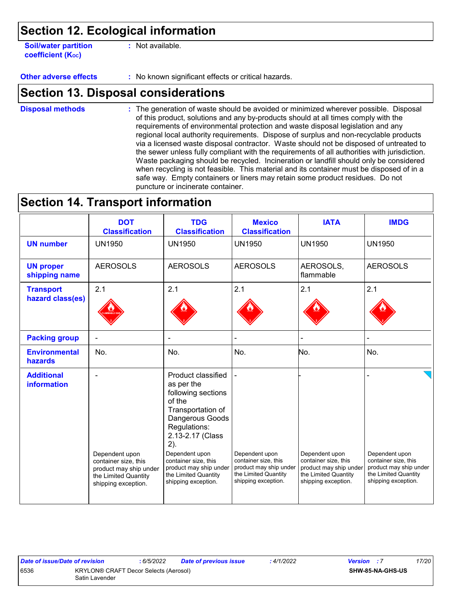**Soil/water partition coefficient (KOC)**

**:** Not available.

**Other adverse effects** : No known significant effects or critical hazards.

### **Section 13. Disposal considerations**

The generation of waste should be avoided or minimized wherever possible. Disposal of this product, solutions and any by-products should at all times comply with the requirements of environmental protection and waste disposal legislation and any regional local authority requirements. Dispose of surplus and non-recyclable products via a licensed waste disposal contractor. Waste should not be disposed of untreated to the sewer unless fully compliant with the requirements of all authorities with jurisdiction. Waste packaging should be recycled. Incineration or landfill should only be considered when recycling is not feasible. This material and its container must be disposed of in a safe way. Empty containers or liners may retain some product residues. Do not puncture or incinerate container. **Disposal methods :**

### **Section 14. Transport information**

|                                         | <b>DOT</b><br><b>Classification</b>                                                                             | <b>TDG</b><br><b>Classification</b>                                                                                                                                                                                                                                    | <b>Mexico</b><br><b>Classification</b>                                                                          | <b>IATA</b>                                                                                                     | <b>IMDG</b>                                                                                                     |
|-----------------------------------------|-----------------------------------------------------------------------------------------------------------------|------------------------------------------------------------------------------------------------------------------------------------------------------------------------------------------------------------------------------------------------------------------------|-----------------------------------------------------------------------------------------------------------------|-----------------------------------------------------------------------------------------------------------------|-----------------------------------------------------------------------------------------------------------------|
| <b>UN number</b>                        | <b>UN1950</b>                                                                                                   | <b>UN1950</b>                                                                                                                                                                                                                                                          | <b>UN1950</b>                                                                                                   | <b>UN1950</b>                                                                                                   | <b>UN1950</b>                                                                                                   |
| <b>UN proper</b><br>shipping name       | <b>AEROSOLS</b>                                                                                                 | <b>AEROSOLS</b>                                                                                                                                                                                                                                                        | <b>AEROSOLS</b>                                                                                                 | AEROSOLS,<br>flammable                                                                                          | <b>AEROSOLS</b>                                                                                                 |
| <b>Transport</b><br>hazard class(es)    | 2.1                                                                                                             | 2.1                                                                                                                                                                                                                                                                    | 2.1                                                                                                             | 2.1                                                                                                             | 2.1                                                                                                             |
| <b>Packing group</b>                    | $\blacksquare$                                                                                                  | ۰                                                                                                                                                                                                                                                                      |                                                                                                                 |                                                                                                                 |                                                                                                                 |
| <b>Environmental</b><br>hazards         | No.                                                                                                             | No.                                                                                                                                                                                                                                                                    | No.                                                                                                             | No.                                                                                                             | No.                                                                                                             |
| <b>Additional</b><br><b>information</b> | Dependent upon<br>container size, this<br>product may ship under<br>the Limited Quantity<br>shipping exception. | Product classified<br>as per the<br>following sections<br>of the<br>Transportation of<br>Dangerous Goods<br>Regulations:<br>2.13-2.17 (Class<br>2).<br>Dependent upon<br>container size, this<br>product may ship under<br>the Limited Quantity<br>shipping exception. | Dependent upon<br>container size, this<br>product may ship under<br>the Limited Quantity<br>shipping exception. | Dependent upon<br>container size, this<br>product may ship under<br>the Limited Quantity<br>shipping exception. | Dependent upon<br>container size, this<br>product may ship under<br>the Limited Quantity<br>shipping exception. |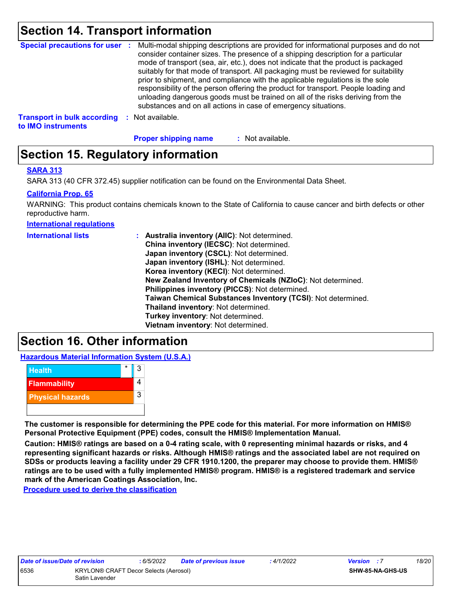### **Section 14. Transport information**

| <b>Special precautions for user :</b>                    |      | Multi-modal shipping descriptions are provided for informational purposes and do not<br>consider container sizes. The presence of a shipping description for a particular<br>mode of transport (sea, air, etc.), does not indicate that the product is packaged<br>suitably for that mode of transport. All packaging must be reviewed for suitability<br>prior to shipment, and compliance with the applicable regulations is the sole<br>responsibility of the person offering the product for transport. People loading and<br>unloading dangerous goods must be trained on all of the risks deriving from the<br>substances and on all actions in case of emergency situations. |
|----------------------------------------------------------|------|-------------------------------------------------------------------------------------------------------------------------------------------------------------------------------------------------------------------------------------------------------------------------------------------------------------------------------------------------------------------------------------------------------------------------------------------------------------------------------------------------------------------------------------------------------------------------------------------------------------------------------------------------------------------------------------|
| <b>Transport in bulk according</b><br>to IMO instruments | - 11 | Not available.                                                                                                                                                                                                                                                                                                                                                                                                                                                                                                                                                                                                                                                                      |

: Not available. **Proper shipping name :**

### **Section 15. Regulatory information**

#### **SARA 313**

SARA 313 (40 CFR 372.45) supplier notification can be found on the Environmental Data Sheet.

#### **California Prop. 65**

WARNING: This product contains chemicals known to the State of California to cause cancer and birth defects or other reproductive harm.

**International regulations**

| <b>International lists</b> | : Australia inventory (AIIC): Not determined.                |
|----------------------------|--------------------------------------------------------------|
|                            | China inventory (IECSC): Not determined.                     |
|                            | Japan inventory (CSCL): Not determined.                      |
|                            | Japan inventory (ISHL): Not determined.                      |
|                            | Korea inventory (KECI): Not determined.                      |
|                            | New Zealand Inventory of Chemicals (NZIoC): Not determined.  |
|                            | Philippines inventory (PICCS): Not determined.               |
|                            | Taiwan Chemical Substances Inventory (TCSI): Not determined. |
|                            | Thailand inventory: Not determined.                          |
|                            | Turkey inventory: Not determined.                            |
|                            | Vietnam inventory: Not determined.                           |

### **Section 16. Other information**

**Hazardous Material Information System (U.S.A.)**



**The customer is responsible for determining the PPE code for this material. For more information on HMIS® Personal Protective Equipment (PPE) codes, consult the HMIS® Implementation Manual.**

**Caution: HMIS® ratings are based on a 0-4 rating scale, with 0 representing minimal hazards or risks, and 4 representing significant hazards or risks. Although HMIS® ratings and the associated label are not required on SDSs or products leaving a facility under 29 CFR 1910.1200, the preparer may choose to provide them. HMIS® ratings are to be used with a fully implemented HMIS® program. HMIS® is a registered trademark and service mark of the American Coatings Association, Inc.**

**Procedure used to derive the classification**